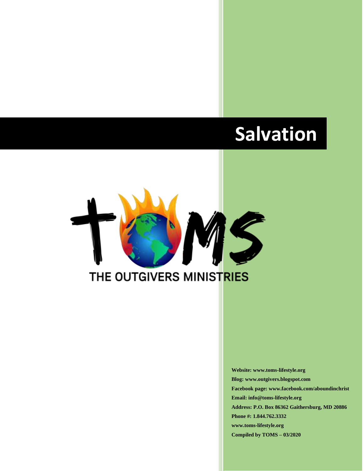# **Salvation**



**Website: www.toms-lifestyle.org Blog: www.outgivers.blogspot.com Facebook page: www.facebook.com/aboundinchrist Email: info@toms-lifestyle.org Address: P.O. Box 86362 Gaithersburg, MD 20886 Phone #: 1.844.762.3332 www.toms-lifestyle.org Compiled by TOMS – 03/2020**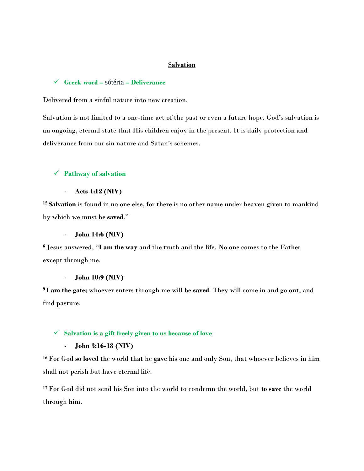## **Salvation**

#### ✓ **Greek word –** sótéria **– Deliverance**

Delivered from a sinful nature into new creation.

Salvation is not limited to a one-time act of the past or even a future hope. God's salvation is an ongoing, eternal state that His children enjoy in the present. It is daily protection and deliverance from our sin nature and Satan's schemes.

## ✓ **Pathway of salvation**

- **Acts 4:12 (NIV)**

**<sup>12</sup> Salvation** is found in no one else, for there is no other name under heaven given to mankind by which we must be **saved**."

#### - **John 14:6 (NIV)**

**<sup>6</sup>** Jesus answered, "**I am the way** and the truth and the life. No one comes to the Father except through me.

#### - **John 10:9 (NIV)**

**<sup>9</sup> I am the gate;** whoever enters through me will be **saved**. They will come in and go out, and find pasture.

## ✓ **Salvation is a gift freely given to us because of love**

## - **John 3:16-18 (NIV)**

**<sup>16</sup>** For God **so loved** the world that he **gave** his one and only Son, that whoever believes in him shall not perish but have eternal life.

**<sup>17</sup>** For God did not send his Son into the world to condemn the world, but **to save** the world through him.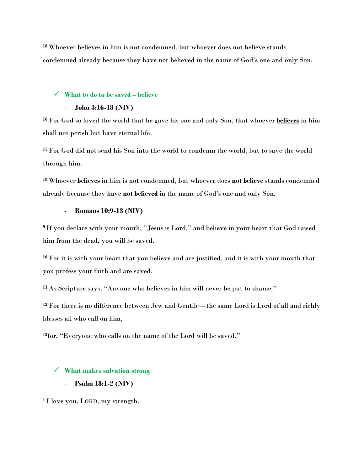**<sup>18</sup>** Whoever believes in him is not condemned, but whoever does not believe stands condemned already because they have not believed in the name of God's one and only Son.

## ✓ **What to do to be saved – believe**

## - **John 3:16-18 (NIV)**

**<sup>16</sup>** For God so loved the world that he gave his one and only Son, that whoever **believes** in him shall not perish but have eternal life.

**<sup>17</sup>** For God did not send his Son into the world to condemn the world, but to save the world through him.

**<sup>18</sup>** Whoever **believes** in him is not condemned, but whoever does **not believe** stands condemned already because they have **not believed** in the name of God's one and only Son.

## - **Romans 10:9-13 (NIV)**

**<sup>9</sup>** If you declare with your mouth, "Jesus is Lord," and believe in your heart that God raised him from the dead, you will be saved.

**<sup>10</sup>** For it is with your heart that you believe and are justified, and it is with your mouth that you profess your faith and are saved.

**<sup>11</sup>** As Scripture says, "Anyone who believes in him will never be put to shame."

**<sup>12</sup>** For there is no difference between Jew and Gentile—the same Lord is Lord of all and richly blesses all who call on him,

**13** for, "Everyone who calls on the name of the Lord will be saved."

### ✓ **What makes salvation strong**

- **Psalm 18:1-2 (NIV)**

**<sup>1</sup>** I love you, LORD, my strength.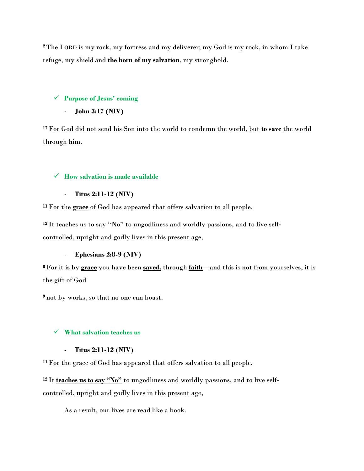**<sup>2</sup>** The LORD is my rock, my fortress and my deliverer; my God is my rock, in whom I take refuge, my shield and **the horn of my salvation**, my stronghold.

# ✓ **Purpose of Jesus' coming**

- **John 3:17 (NIV)**

**<sup>17</sup>** For God did not send his Son into the world to condemn the world, but **to save** the world through him.

# ✓ **How salvation is made available**

- **Titus 2:11-12 (NIV)**

**<sup>11</sup>** For the **grace** of God has appeared that offers salvation to all people.

**<sup>12</sup>** It teaches us to say "No" to ungodliness and worldly passions, and to live selfcontrolled, upright and godly lives in this present age,

## - **Ephesians 2:8-9 (NIV)**

**<sup>8</sup>** For it is by **grace** you have been **saved,** through **faith**—and this is not from yourselves, it is the gift of God

**<sup>9</sup>** not by works, so that no one can boast.

# ✓ **What salvation teaches us**

## - **Titus 2:11-12 (NIV)**

**<sup>11</sup>** For the grace of God has appeared that offers salvation to all people.

**<sup>12</sup>** It **teaches us to say "No"** to ungodliness and worldly passions, and to live selfcontrolled, upright and godly lives in this present age,

As a result, our lives are read like a book.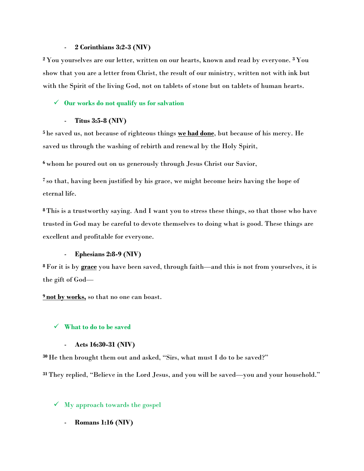## - **2 Corinthians 3:2-3 (NIV)**

**<sup>2</sup>** You yourselves are our letter, written on our hearts, known and read by everyone. **<sup>3</sup>** You show that you are a letter from Christ, the result of our ministry, written not with ink but with the Spirit of the living God, not on tablets of stone but on tablets of human hearts.

# ✓ **Our works do not qualify us for salvation**

- **Titus 3:5-8 (NIV)**

**<sup>5</sup>** he saved us, not because of righteous things **we had done**, but because of his mercy. He saved us through the washing of rebirth and renewal by the Holy Spirit,

**<sup>6</sup>** whom he poured out on us generously through Jesus Christ our Savior,

**<sup>7</sup>** so that, having been justified by his grace, we might become heirs having the hope of eternal life.

**<sup>8</sup>** This is a trustworthy saying. And I want you to stress these things, so that those who have trusted in God may be careful to devote themselves to doing what is good. These things are excellent and profitable for everyone.

## - **Ephesians 2:8-9 (NIV)**

**<sup>8</sup>** For it is by **grace** you have been saved, through faith—and this is not from yourselves, it is the gift of God—

**<sup>9</sup> not by works,** so that no one can boast.

# ✓ **What to do to be saved**

## - **Acts 16:30-31 (NIV)**

**<sup>30</sup>** He then brought them out and asked, "Sirs, what must I do to be saved?"

**<sup>31</sup>** They replied, "Believe in the Lord Jesus, and you will be saved—you and your household."

# $\checkmark$  My approach towards the gospel

- **Romans 1:16 (NIV)**